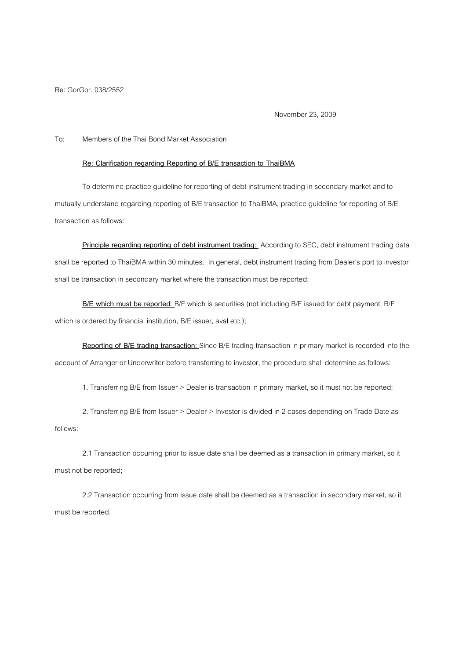Re: GorGor. 038/2552

November 23, 2009

## To: Members of the Thai Bond Market Association

## **Re: Clarification regarding Reporting of B/E transaction to ThaiBMA**

 To determine practice guideline for reporting of debt instrument trading in secondary market and to mutually understand regarding reporting of B/E transaction to ThaiBMA, practice guideline for reporting of B/E transaction as follows:

**Principle regarding reporting of debt instrument trading:** According to SEC, debt instrument trading data shall be reported to ThaiBMA within 30 minutes. In general, debt instrument trading from Dealer's port to investor shall be transaction in secondary market where the transaction must be reported;

**B/E which must be reported:** B/E which is securities (not including B/E issued for debt payment, B/E which is ordered by financial institution, B/E issuer, aval etc.);

**Reporting of B/E trading transaction:** Since B/E trading transaction in primary market is recorded into the account of Arranger or Underwriter before transferring to investor, the procedure shall determine as follows:

1. Transferring B/E from Issuer > Dealer is transaction in primary market, so it must not be reported;

 2. Transferring B/E from Issuer > Dealer > Investor is divided in 2 cases depending on Trade Date as follows:

 2.1 Transaction occurring prior to issue date shall be deemed as a transaction in primary market, so it must not be reported;

 2.2 Transaction occurring from issue date shall be deemed as a transaction in secondary market, so it must be reported.